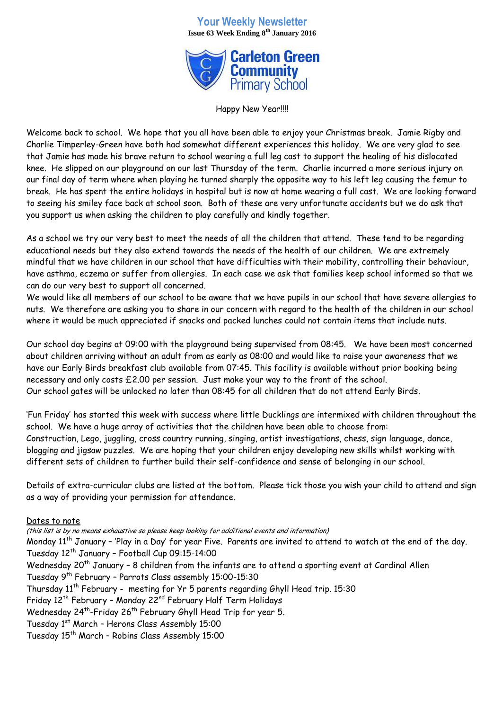## **Your Weekly Newsletter Issue 63 Week Ending 8th January 2016**



Happy New Year!!!!

Welcome back to school. We hope that you all have been able to enjoy your Christmas break. Jamie Rigby and Charlie Timperley-Green have both had somewhat different experiences this holiday. We are very glad to see that Jamie has made his brave return to school wearing a full leg cast to support the healing of his dislocated knee. He slipped on our playground on our last Thursday of the term. Charlie incurred a more serious injury on our final day of term where when playing he turned sharply the opposite way to his left leg causing the femur to break. He has spent the entire holidays in hospital but is now at home wearing a full cast. We are looking forward to seeing his smiley face back at school soon. Both of these are very unfortunate accidents but we do ask that you support us when asking the children to play carefully and kindly together.

As a school we try our very best to meet the needs of all the children that attend. These tend to be regarding educational needs but they also extend towards the needs of the health of our children. We are extremely mindful that we have children in our school that have difficulties with their mobility, controlling their behaviour, have asthma, eczema or suffer from allergies. In each case we ask that families keep school informed so that we can do our very best to support all concerned.

We would like all members of our school to be aware that we have pupils in our school that have severe allergies to nuts. We therefore are asking you to share in our concern with regard to the health of the children in our school where it would be much appreciated if snacks and packed lunches could not contain items that include nuts.

Our school day begins at 09:00 with the playground being supervised from 08:45. We have been most concerned about children arriving without an adult from as early as 08:00 and would like to raise your awareness that we have our Early Birds breakfast club available from 07:45. This facility is available without prior booking being necessary and only costs £2.00 per session. Just make your way to the front of the school. Our school gates will be unlocked no later than 08:45 for all children that do not attend Early Birds.

'Fun Friday' has started this week with success where little Ducklings are intermixed with children throughout the school. We have a huge array of activities that the children have been able to choose from: Construction, Lego, juggling, cross country running, singing, artist investigations, chess, sign language, dance, blogging and jigsaw puzzles. We are hoping that your children enjoy developing new skills whilst working with different sets of children to further build their self-confidence and sense of belonging in our school.

Details of extra-curricular clubs are listed at the bottom. Please tick those you wish your child to attend and sign as a way of providing your permission for attendance.

## Dates to note

(this list is by no means exhaustive so please keep looking for additional events and information) Monday 11<sup>th</sup> January - 'Play in a Day' for year Five. Parents are invited to attend to watch at the end of the day. Tuesday 12<sup>th</sup> January - Football Cup 09:15-14:00 Wednesday 20<sup>th</sup> January - 8 children from the infants are to attend a sporting event at Cardinal Allen Tuesday 9th February – Parrots Class assembly 15:00-15:30 Thursday  $11<sup>th</sup>$  February - meeting for Yr 5 parents regarding Ghyll Head trip. 15:30 Friday 12<sup>th</sup> February - Monday 22<sup>nd</sup> February Half Term Holidays Wednesday 24<sup>th</sup>-Friday 26<sup>th</sup> February Ghyll Head Trip for year 5. Tuesday 1st March – Herons Class Assembly 15:00 Tuesday 15<sup>th</sup> March - Robins Class Assembly 15:00